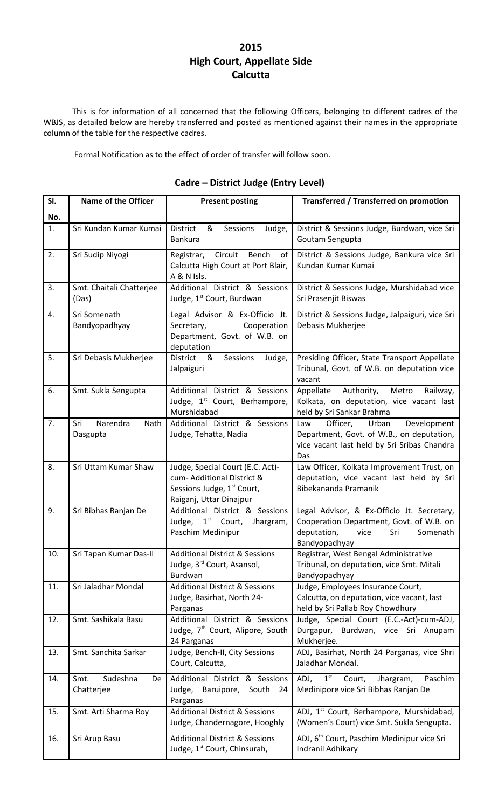### **2015 High Court, Appellate Side Calcutta**

This is for information of all concerned that the following Officers, belonging to different cadres of the WBJS, as detailed below are hereby transferred and posted as mentioned against their names in the appropriate column of the table for the respective cadres.

Formal Notification as to the effect of order of transfer will follow soon.

| SI.       | <b>Name of the Officer</b>           | <b>Present posting</b>                                                                                                              | <b>Transferred / Transferred on promotion</b>                                                                                                     |
|-----------|--------------------------------------|-------------------------------------------------------------------------------------------------------------------------------------|---------------------------------------------------------------------------------------------------------------------------------------------------|
|           |                                      |                                                                                                                                     |                                                                                                                                                   |
| No.<br>1. | Sri Kundan Kumar Kumai               | District<br>&<br>Sessions<br>Judge,<br>Bankura                                                                                      | District & Sessions Judge, Burdwan, vice Sri<br>Goutam Sengupta                                                                                   |
| 2.        | Sri Sudip Niyogi                     | Circuit<br>Bench<br>Registrar,<br>of<br>Calcutta High Court at Port Blair,<br>A & N Isls.                                           | District & Sessions Judge, Bankura vice Sri<br>Kundan Kumar Kumai                                                                                 |
| 3.        | Smt. Chaitali Chatterjee<br>(Das)    | Additional District & Sessions<br>Judge, 1 <sup>st</sup> Court, Burdwan                                                             | District & Sessions Judge, Murshidabad vice<br>Sri Prasenjit Biswas                                                                               |
| 4.        | Sri Somenath<br>Bandyopadhyay        | Legal Advisor & Ex-Officio Jt.<br>Secretary,<br>Cooperation<br>Department, Govt. of W.B. on<br>deputation                           | District & Sessions Judge, Jalpaiguri, vice Sri<br>Debasis Mukherjee                                                                              |
| 5.        | Sri Debasis Mukherjee                | <b>District</b><br>&<br>Sessions<br>Judge,<br>Jalpaiguri                                                                            | Presiding Officer, State Transport Appellate<br>Tribunal, Govt. of W.B. on deputation vice<br>vacant                                              |
| 6.        | Smt. Sukla Sengupta                  | Additional District & Sessions<br>Judge, 1 <sup>st</sup> Court, Berhampore,<br>Murshidabad                                          | Authority,<br>Metro<br>Railway,<br>Appellate<br>Kolkata, on deputation, vice vacant last<br>held by Sri Sankar Brahma                             |
| 7.        | Sri<br>Narendra<br>Nath<br>Dasgupta  | Additional District & Sessions<br>Judge, Tehatta, Nadia                                                                             | Development<br>Officer,<br>Urban<br>Law<br>Department, Govt. of W.B., on deputation,<br>vice vacant last held by Sri Sribas Chandra<br>Das        |
| 8.        | Sri Uttam Kumar Shaw                 | Judge, Special Court (E.C. Act)-<br>cum- Additional District &<br>Sessions Judge, 1 <sup>st</sup> Court,<br>Raiganj, Uttar Dinajpur | Law Officer, Kolkata Improvement Trust, on<br>deputation, vice vacant last held by Sri<br>Bibekananda Pramanik                                    |
| 9.        | Sri Bibhas Ranjan De                 | Additional District & Sessions<br>$1st$ Court,<br>Judge,<br>Jhargram,<br>Paschim Medinipur                                          | Legal Advisor, & Ex-Officio Jt. Secretary,<br>Cooperation Department, Govt. of W.B. on<br>deputation,<br>Sri<br>vice<br>Somenath<br>Bandyopadhyay |
| 10.       | Sri Tapan Kumar Das-II               | <b>Additional District &amp; Sessions</b><br>Judge, 3 <sup>rd</sup> Court, Asansol,<br>Burdwan                                      | Registrar, West Bengal Administrative<br>Tribunal, on deputation, vice Smt. Mitali<br>Bandyopadhyay                                               |
| 11.       | Sri Jaladhar Mondal                  | <b>Additional District &amp; Sessions</b><br>Judge, Basirhat, North 24-<br>Parganas                                                 | Judge, Employees Insurance Court,<br>Calcutta, on deputation, vice vacant, last<br>held by Sri Pallab Roy Chowdhury                               |
| 12.       | Smt. Sashikala Basu                  | Additional District & Sessions<br>Judge, 7 <sup>th</sup> Court, Alipore, South<br>24 Parganas                                       | Judge, Special Court (E.C.-Act)-cum-ADJ,<br>Durgapur, Burdwan, vice Sri Anupam<br>Mukherjee.                                                      |
| 13.       | Smt. Sanchita Sarkar                 | Judge, Bench-II, City Sessions<br>Court, Calcutta,                                                                                  | ADJ, Basirhat, North 24 Parganas, vice Shri<br>Jaladhar Mondal.                                                                                   |
| 14.       | Smt.<br>Sudeshna<br>De<br>Chatterjee | Additional District & Sessions<br>Baruipore,<br>Judge,<br>South<br>24<br>Parganas                                                   | $\mathbf{1}^{\text{st}}$<br>ADJ,<br>Paschim<br>Court,<br>Jhargram,<br>Medinipore vice Sri Bibhas Ranjan De                                        |
| 15.       | Smt. Arti Sharma Roy                 | <b>Additional District &amp; Sessions</b><br>Judge, Chandernagore, Hooghly                                                          | ADJ, 1 <sup>st</sup> Court, Berhampore, Murshidabad,<br>(Women's Court) vice Smt. Sukla Sengupta.                                                 |
| 16.       | Sri Arup Basu                        | <b>Additional District &amp; Sessions</b><br>Judge, 1 <sup>st</sup> Court, Chinsurah,                                               | ADJ, 6 <sup>th</sup> Court, Paschim Medinipur vice Sri<br>Indranil Adhikary                                                                       |

#### **Cadre – District Judge (Entry Level)**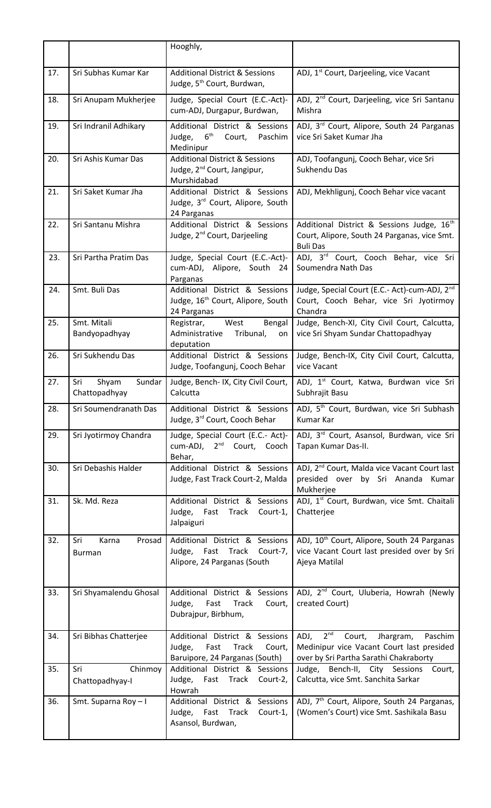|     |                                         | Hooghly,                                                                                            |                                                                                                                                        |
|-----|-----------------------------------------|-----------------------------------------------------------------------------------------------------|----------------------------------------------------------------------------------------------------------------------------------------|
| 17. | Sri Subhas Kumar Kar                    | <b>Additional District &amp; Sessions</b><br>Judge, 5 <sup>th</sup> Court, Burdwan,                 | ADJ, 1 <sup>st</sup> Court, Darjeeling, vice Vacant                                                                                    |
| 18. | Sri Anupam Mukherjee                    | Judge, Special Court (E.C.-Act)-<br>cum-ADJ, Durgapur, Burdwan,                                     | ADJ, 2 <sup>nd</sup> Court, Darjeeling, vice Sri Santanu<br>Mishra                                                                     |
| 19. | Sri Indranil Adhikary                   | Additional District & Sessions<br>$6^{\text{th}}$<br>Judge,<br>Court,<br>Paschim<br>Medinipur       | ADJ, 3rd Court, Alipore, South 24 Parganas<br>vice Sri Saket Kumar Jha                                                                 |
| 20. | Sri Ashis Kumar Das                     | <b>Additional District &amp; Sessions</b><br>Judge, 2 <sup>nd</sup> Court, Jangipur,<br>Murshidabad | ADJ, Toofangunj, Cooch Behar, vice Sri<br>Sukhendu Das                                                                                 |
| 21. | Sri Saket Kumar Jha                     | Additional District & Sessions<br>Judge, 3rd Court, Alipore, South<br>24 Parganas                   | ADJ, Mekhligunj, Cooch Behar vice vacant                                                                                               |
| 22. | Sri Santanu Mishra                      | Additional District & Sessions<br>Judge, 2 <sup>nd</sup> Court, Darjeeling                          | Additional District & Sessions Judge, 16 <sup>th</sup><br>Court, Alipore, South 24 Parganas, vice Smt.<br><b>Buli Das</b>              |
| 23. | Sri Partha Pratim Das                   | Judge, Special Court (E.C.-Act)-<br>cum-ADJ, Alipore, South 24<br>Parganas                          | ADJ, 3rd Court, Cooch Behar, vice Sri<br>Soumendra Nath Das                                                                            |
| 24. | Smt. Buli Das                           | Additional District & Sessions<br>Judge, 16 <sup>th</sup> Court, Alipore, South<br>24 Parganas      | Judge, Special Court (E.C.- Act)-cum-ADJ, 2 <sup>nd</sup><br>Court, Cooch Behar, vice Sri Jyotirmoy<br>Chandra                         |
| 25. | Smt. Mitali<br>Bandyopadhyay            | West<br>Bengal<br>Registrar,<br>Administrative<br>Tribunal,<br>on<br>deputation                     | Judge, Bench-XI, City Civil Court, Calcutta,<br>vice Sri Shyam Sundar Chattopadhyay                                                    |
| 26. | Sri Sukhendu Das                        | Additional District & Sessions<br>Judge, Toofangunj, Cooch Behar                                    | Judge, Bench-IX, City Civil Court, Calcutta,<br>vice Vacant                                                                            |
| 27. | Shyam<br>Sundar<br>Sri<br>Chattopadhyay | Judge, Bench-IX, City Civil Court,<br>Calcutta                                                      | ADJ, 1 <sup>st</sup> Court, Katwa, Burdwan vice Sri<br>Subhrajit Basu                                                                  |
| 28. | Sri Soumendranath Das                   | Additional District & Sessions<br>Judge, 3rd Court, Cooch Behar                                     | ADJ, 5 <sup>th</sup> Court, Burdwan, vice Sri Subhash<br>Kumar Kar                                                                     |
| 29. | Sri Jyotirmoy Chandra                   | Judge, Special Court (E.C.- Act)-<br>cum-ADJ, 2 <sup>nd</sup> Court, Cooch<br>Behar,                | ADJ, 3 <sup>rd</sup> Court, Asansol, Burdwan, vice Sri<br>Tapan Kumar Das-II.                                                          |
| 30. | Sri Debashis Halder                     | Additional District & Sessions<br>Judge, Fast Track Court-2, Malda                                  | ADJ, 2 <sup>nd</sup> Court, Malda vice Vacant Court last<br>presided over by Sri Ananda Kumar<br>Mukherjee                             |
| 31. | Sk. Md. Reza                            | Additional District & Sessions<br>Judge, Fast Track<br>Court-1,<br>Jalpaiguri                       | ADJ, 1 <sup>st</sup> Court, Burdwan, vice Smt. Chaitali<br>Chatterjee                                                                  |
| 32. | Karna<br>Prosad<br>Sri<br>Burman        | Additional District & Sessions<br>Judge, Fast Track Court-7,<br>Alipore, 24 Parganas (South         | ADJ, 10 <sup>th</sup> Court, Alipore, South 24 Parganas<br>vice Vacant Court last presided over by Sri<br>Ajeya Matilal                |
| 33. | Sri Shyamalendu Ghosal                  | Additional District & Sessions<br>Fast<br>Track<br>Judge,<br>Court,<br>Dubrajpur, Birbhum,          | ADJ, 2 <sup>nd</sup> Court, Uluberia, Howrah (Newly<br>created Court)                                                                  |
| 34. | Sri Bibhas Chatterjee                   | Additional District & Sessions<br>Judge, Fast<br>Track<br>Court,<br>Baruipore, 24 Parganas (South)  | ADJ, $2^{nd}$<br>Court,<br>Jhargram,<br>Paschim<br>Medinipur vice Vacant Court last presided<br>over by Sri Partha Sarathi Chakraborty |
| 35. | Chinmoy<br>Sri<br>Chattopadhyay-I       | Additional District & Sessions<br>Judge, Fast Track<br>Court-2,<br>Howrah                           | Judge, Bench-II, City Sessions Court,<br>Calcutta, vice Smt. Sanchita Sarkar                                                           |
| 36. | Smt. Suparna Roy-I                      | Additional District & Sessions<br>Judge, Fast Track<br>Court-1,<br>Asansol, Burdwan,                | ADJ, 7 <sup>th</sup> Court, Alipore, South 24 Parganas,<br>(Women's Court) vice Smt. Sashikala Basu                                    |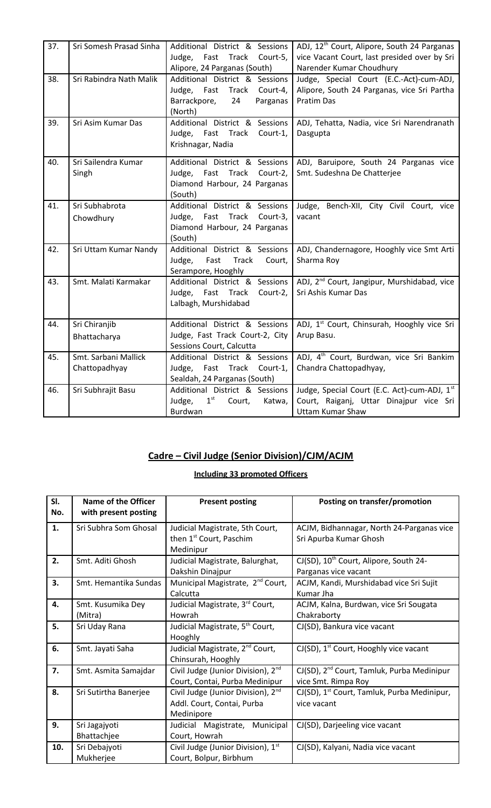| 37. | Sri Somesh Prasad Sinha               | Additional District & Sessions<br>Judge, Fast Track<br>Court-5,<br>Alipore, 24 Parganas (South)              | ADJ, 12 <sup>th</sup> Court, Alipore, South 24 Parganas<br>vice Vacant Court, last presided over by Sri<br>Narender Kumar Choudhury |
|-----|---------------------------------------|--------------------------------------------------------------------------------------------------------------|-------------------------------------------------------------------------------------------------------------------------------------|
| 38. | Sri Rabindra Nath Malik               | Additional District & Sessions<br>Judge, Fast Track<br>Court-4,<br>Barrackpore,<br>Parganas<br>24<br>(North) | Judge, Special Court (E.C.-Act)-cum-ADJ,<br>Alipore, South 24 Parganas, vice Sri Partha<br><b>Pratim Das</b>                        |
| 39. | Sri Asim Kumar Das                    | Additional District & Sessions<br>Judge, Fast Track<br>Court-1,<br>Krishnagar, Nadia                         | ADJ, Tehatta, Nadia, vice Sri Narendranath<br>Dasgupta                                                                              |
| 40. | Sri Sailendra Kumar<br>Singh          | Additional District & Sessions<br>Fast Track Court-2,<br>Judge,<br>Diamond Harbour, 24 Parganas<br>(South)   | ADJ, Baruipore, South 24 Parganas vice<br>Smt. Sudeshna De Chatterjee                                                               |
| 41. | Sri Subhabrota<br>Chowdhury           | Additional District & Sessions<br>Judge, Fast Track<br>Court-3,<br>Diamond Harbour, 24 Parganas<br>(South)   | Judge, Bench-XII, City Civil Court, vice<br>vacant                                                                                  |
| 42. | Sri Uttam Kumar Nandy                 | Additional District & Sessions<br>Judge, Fast<br>Track<br>Court,<br>Serampore, Hooghly                       | ADJ, Chandernagore, Hooghly vice Smt Arti<br>Sharma Roy                                                                             |
| 43. | Smt. Malati Karmakar                  | Additional District & Sessions<br>Judge, Fast Track<br>Court-2,<br>Lalbagh, Murshidabad                      | ADJ, 2 <sup>nd</sup> Court, Jangipur, Murshidabad, vice<br>Sri Ashis Kumar Das                                                      |
| 44. | Sri Chiranjib<br>Bhattacharya         | Additional District & Sessions<br>Judge, Fast Track Court-2, City<br>Sessions Court, Calcutta                | ADJ, 1 <sup>st</sup> Court, Chinsurah, Hooghly vice Sri<br>Arup Basu.                                                               |
| 45. | Smt. Sarbani Mallick<br>Chattopadhyay | Additional District & Sessions<br>Judge, Fast Track<br>Court-1,<br>Sealdah, 24 Parganas (South)              | ADJ, 4 <sup>th</sup> Court, Burdwan, vice Sri Bankim<br>Chandra Chattopadhyay,                                                      |
| 46. | Sri Subhrajit Basu                    | Additional District & Sessions<br>1 <sup>st</sup><br>Judge,<br>Court,<br>Katwa,<br>Burdwan                   | Judge, Special Court (E.C. Act)-cum-ADJ, 1st<br>Court, Raiganj, Uttar Dinajpur vice Sri<br><b>Uttam Kumar Shaw</b>                  |

# **Cadre – Civil Judge (Senior Division)/CJM/ACJM**

#### **Including 33 promoted Officers**

| SI. | <b>Name of the Officer</b> | <b>Present posting</b>                         | Posting on transfer/promotion                           |
|-----|----------------------------|------------------------------------------------|---------------------------------------------------------|
| No. | with present posting       |                                                |                                                         |
| 1.  | Sri Subhra Som Ghosal      | Judicial Magistrate, 5th Court,                | ACJM, Bidhannagar, North 24-Parganas vice               |
|     |                            | then 1 <sup>st</sup> Court, Paschim            | Sri Apurba Kumar Ghosh                                  |
|     |                            | Medinipur                                      |                                                         |
| 2.  | Smt. Aditi Ghosh           | Judicial Magistrate, Balurghat,                | CJ(SD), 10 <sup>th</sup> Court, Alipore, South 24-      |
|     |                            | Dakshin Dinajpur                               | Parganas vice vacant                                    |
| 3.  | Smt. Hemantika Sundas      | Municipal Magistrate, 2 <sup>nd</sup> Court,   | ACJM, Kandi, Murshidabad vice Sri Sujit                 |
|     |                            | Calcutta                                       | Kumar Jha                                               |
| 4.  | Smt. Kusumika Dey          | Judicial Magistrate, 3 <sup>rd</sup> Court,    | ACJM, Kalna, Burdwan, vice Sri Sougata                  |
|     | (Mitra)                    | Howrah                                         | Chakraborty                                             |
| 5.  | Sri Uday Rana              | Judicial Magistrate, 5 <sup>th</sup> Court,    | CJ(SD), Bankura vice vacant                             |
|     |                            | Hooghly                                        |                                                         |
| 6.  | Smt. Jayati Saha           | Judicial Magistrate, 2 <sup>nd</sup> Court,    | $CI(SD)$ , 1 <sup>st</sup> Court, Hooghly vice vacant   |
|     |                            | Chinsurah, Hooghly                             |                                                         |
| 7.  | Smt. Asmita Samajdar       | Civil Judge (Junior Division), 2 <sup>nd</sup> | CJ(SD), 2 <sup>nd</sup> Court, Tamluk, Purba Medinipur  |
|     |                            | Court, Contai, Purba Medinipur                 | vice Smt. Rimpa Roy                                     |
| 8.  | Sri Sutirtha Banerjee      | Civil Judge (Junior Division), 2 <sup>nd</sup> | CJ(SD), 1 <sup>st</sup> Court, Tamluk, Purba Medinipur, |
|     |                            | Addl. Court, Contai, Purba                     | vice vacant                                             |
|     |                            | Medinipore                                     |                                                         |
| 9.  | Sri Jagajyoti              | Judicial Magistrate, Municipal                 | CJ(SD), Darjeeling vice vacant                          |
|     | Bhattachjee                | Court, Howrah                                  |                                                         |
| 10. | Sri Debajyoti              | Civil Judge (Junior Division), 1st             | CJ(SD), Kalyani, Nadia vice vacant                      |
|     | Mukherjee                  | Court, Bolpur, Birbhum                         |                                                         |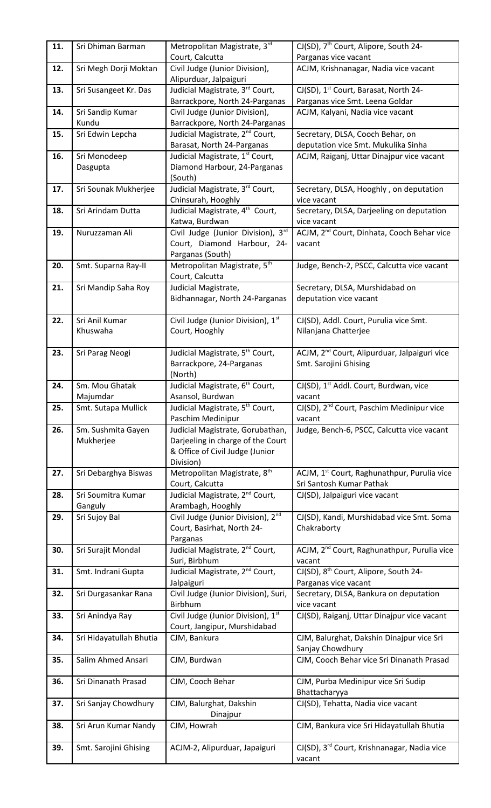| 11. | Sri Dhiman Barman          | Metropolitan Magistrate, 3rd                                     | CJ(SD), 7 <sup>th</sup> Court, Alipore, South 24-                                   |
|-----|----------------------------|------------------------------------------------------------------|-------------------------------------------------------------------------------------|
|     |                            | Court, Calcutta                                                  | Parganas vice vacant<br>ACJM, Krishnanagar, Nadia vice vacant                       |
| 12. | Sri Megh Dorji Moktan      | Civil Judge (Junior Division),<br>Alipurduar, Jalpaiguri         |                                                                                     |
| 13. | Sri Susangeet Kr. Das      | Judicial Magistrate, 3rd Court,                                  | CJ(SD), 1 <sup>st</sup> Court, Barasat, North 24-                                   |
|     |                            | Barrackpore, North 24-Parganas                                   | Parganas vice Smt. Leena Goldar                                                     |
| 14. | Sri Sandip Kumar           | Civil Judge (Junior Division),                                   | ACJM, Kalyani, Nadia vice vacant                                                    |
|     | Kundu                      | Barrackpore, North 24-Parganas                                   |                                                                                     |
| 15. | Sri Edwin Lepcha           | Judicial Magistrate, 2 <sup>nd</sup> Court,                      | Secretary, DLSA, Cooch Behar, on                                                    |
|     |                            | Barasat, North 24-Parganas<br>Judicial Magistrate, 1st Court,    | deputation vice Smt. Mukulika Sinha                                                 |
| 16. | Sri Monodeep<br>Dasgupta   | Diamond Harbour, 24-Parganas                                     | ACJM, Raiganj, Uttar Dinajpur vice vacant                                           |
|     |                            | (South)                                                          |                                                                                     |
| 17. | Sri Sounak Mukherjee       | Judicial Magistrate, 3 <sup>rd</sup> Court,                      | Secretary, DLSA, Hooghly, on deputation                                             |
|     |                            | Chinsurah, Hooghly                                               | vice vacant                                                                         |
| 18. | Sri Arindam Dutta          | Judicial Magistrate, 4 <sup>th</sup> Court,                      | Secretary, DLSA, Darjeeling on deputation                                           |
|     |                            | Katwa, Burdwan                                                   | vice vacant                                                                         |
| 19. | Nuruzzaman Ali             | Civil Judge (Junior Division), 3rd                               | ACJM, 2 <sup>nd</sup> Court, Dinhata, Cooch Behar vice                              |
|     |                            | Court, Diamond Harbour, 24-<br>Parganas (South)                  | vacant                                                                              |
| 20. | Smt. Suparna Ray-II        | Metropolitan Magistrate, 5th                                     | Judge, Bench-2, PSCC, Calcutta vice vacant                                          |
|     |                            | Court, Calcutta                                                  |                                                                                     |
| 21. | Sri Mandip Saha Roy        | Judicial Magistrate,                                             | Secretary, DLSA, Murshidabad on                                                     |
|     |                            | Bidhannagar, North 24-Parganas                                   | deputation vice vacant                                                              |
|     |                            |                                                                  |                                                                                     |
| 22. | Sri Anil Kumar<br>Khuswaha | Civil Judge (Junior Division), 1st<br>Court, Hooghly             | CJ(SD), Addl. Court, Purulia vice Smt.<br>Nilanjana Chatterjee                      |
|     |                            |                                                                  |                                                                                     |
| 23. | Sri Parag Neogi            | Judicial Magistrate, 5 <sup>th</sup> Court,                      | ACJM, 2 <sup>nd</sup> Court, Alipurduar, Jalpaiguri vice                            |
|     |                            | Barrackpore, 24-Parganas                                         | Smt. Sarojini Ghising                                                               |
|     |                            | (North)                                                          |                                                                                     |
| 24. | Sm. Mou Ghatak             | Judicial Magistrate, 6 <sup>th</sup> Court,                      | CJ(SD), 1 <sup>st</sup> Addl. Court, Burdwan, vice                                  |
|     | Majumdar                   | Asansol, Burdwan                                                 | vacant                                                                              |
| 25. | Smt. Sutapa Mullick        | Judicial Magistrate, 5 <sup>th</sup> Court,<br>Paschim Medinipur | CJ(SD), 2 <sup>nd</sup> Court, Paschim Medinipur vice<br>vacant                     |
| 26. | Sm. Sushmita Gayen         | Judicial Magistrate, Gorubathan,                                 | Judge, Bench-6, PSCC, Calcutta vice vacant                                          |
|     | Mukherjee                  | Darjeeling in charge of the Court                                |                                                                                     |
|     |                            | & Office of Civil Judge (Junior                                  |                                                                                     |
|     |                            | Division)                                                        |                                                                                     |
| 27. | Sri Debarghya Biswas       | Metropolitan Magistrate, 8 <sup>th</sup><br>Court, Calcutta      | ACJM, 1 <sup>st</sup> Court, Raghunathpur, Purulia vice<br>Sri Santosh Kumar Pathak |
| 28. | Sri Soumitra Kumar         | Judicial Magistrate, 2 <sup>nd</sup> Court,                      | CJ(SD), Jalpaiguri vice vacant                                                      |
|     | Ganguly                    | Arambagh, Hooghly                                                |                                                                                     |
| 29. | Sri Sujoy Bal              | Civil Judge (Junior Division), 2 <sup>nd</sup>                   | CJ(SD), Kandi, Murshidabad vice Smt. Soma                                           |
|     |                            | Court, Basirhat, North 24-                                       | Chakraborty                                                                         |
|     |                            | Parganas                                                         |                                                                                     |
| 30. | Sri Surajit Mondal         | Judicial Magistrate, 2 <sup>nd</sup> Court,<br>Suri, Birbhum     | ACJM, 2 <sup>nd</sup> Court, Raghunathpur, Purulia vice<br>vacant                   |
| 31. |                            |                                                                  |                                                                                     |
|     |                            |                                                                  |                                                                                     |
|     | Smt. Indrani Gupta         | Judicial Magistrate, 2 <sup>nd</sup> Court,<br>Jalpaiguri        | CJ(SD), 8 <sup>th</sup> Court, Alipore, South 24-                                   |
| 32. | Sri Durgasankar Rana       | Civil Judge (Junior Division), Suri,                             | Parganas vice vacant<br>Secretary, DLSA, Bankura on deputation                      |
|     |                            | Birbhum                                                          | vice vacant                                                                         |
| 33. | Sri Anindya Ray            | Civil Judge (Junior Division), 1st                               | CJ(SD), Raiganj, Uttar Dinajpur vice vacant                                         |
|     |                            | Court, Jangipur, Murshidabad                                     |                                                                                     |
| 34. | Sri Hidayatullah Bhutia    | CJM, Bankura                                                     | CJM, Balurghat, Dakshin Dinajpur vice Sri                                           |
| 35. | Salim Ahmed Ansari         | CJM, Burdwan                                                     | Sanjay Chowdhury<br>CJM, Cooch Behar vice Sri Dinanath Prasad                       |
|     |                            |                                                                  |                                                                                     |
| 36. | Sri Dinanath Prasad        | CJM, Cooch Behar                                                 | CJM, Purba Medinipur vice Sri Sudip                                                 |
|     |                            |                                                                  | Bhattacharyya                                                                       |
| 37. | Sri Sanjay Chowdhury       | CJM, Balurghat, Dakshin                                          | CJ(SD), Tehatta, Nadia vice vacant                                                  |
|     |                            | Dinajpur                                                         |                                                                                     |
| 38. | Sri Arun Kumar Nandy       | CJM, Howrah                                                      | CJM, Bankura vice Sri Hidayatullah Bhutia                                           |
| 39. | Smt. Sarojini Ghising      | ACJM-2, Alipurduar, Japaiguri                                    | CJ(SD), 3 <sup>rd</sup> Court, Krishnanagar, Nadia vice                             |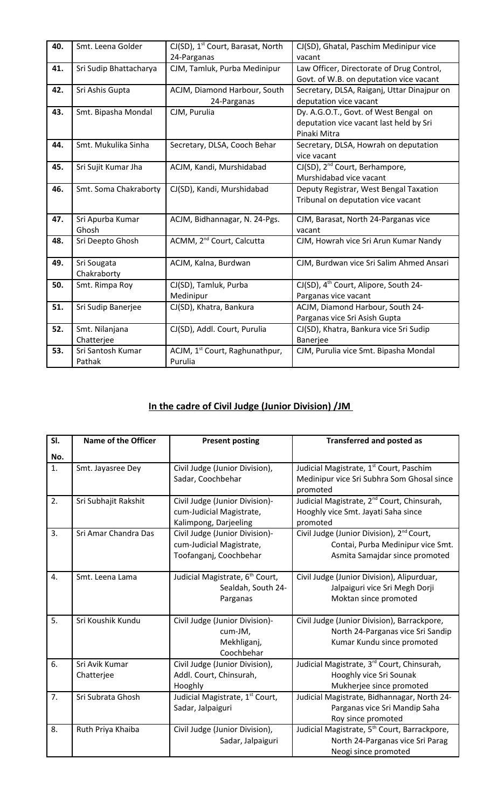| 40. | Smt. Leena Golder            | CJ(SD), 1 <sup>st</sup> Court, Barasat, North<br>24-Parganas | CJ(SD), Ghatal, Paschim Medinipur vice<br>vacant                                                 |
|-----|------------------------------|--------------------------------------------------------------|--------------------------------------------------------------------------------------------------|
| 41. | Sri Sudip Bhattacharya       | CJM, Tamluk, Purba Medinipur                                 | Law Officer, Directorate of Drug Control,<br>Govt. of W.B. on deputation vice vacant             |
| 42. | Sri Ashis Gupta              | ACJM, Diamond Harbour, South<br>24-Parganas                  | Secretary, DLSA, Raiganj, Uttar Dinajpur on<br>deputation vice vacant                            |
| 43. | Smt. Bipasha Mondal          | CJM, Purulia                                                 | Dy. A.G.O.T., Govt. of West Bengal on<br>deputation vice vacant last held by Sri<br>Pinaki Mitra |
| 44. | Smt. Mukulika Sinha          | Secretary, DLSA, Cooch Behar                                 | Secretary, DLSA, Howrah on deputation<br>vice vacant                                             |
| 45. | Sri Sujit Kumar Jha          | ACJM, Kandi, Murshidabad                                     | CJ(SD), 2 <sup>nd</sup> Court, Berhampore,<br>Murshidabad vice vacant                            |
| 46. | Smt. Soma Chakraborty        | CJ(SD), Kandi, Murshidabad                                   | Deputy Registrar, West Bengal Taxation<br>Tribunal on deputation vice vacant                     |
| 47. | Sri Apurba Kumar<br>Ghosh    | ACJM, Bidhannagar, N. 24-Pgs.                                | CJM, Barasat, North 24-Parganas vice<br>vacant                                                   |
| 48. | Sri Deepto Ghosh             | ACMM, 2 <sup>nd</sup> Court, Calcutta                        | CJM, Howrah vice Sri Arun Kumar Nandy                                                            |
| 49. | Sri Sougata<br>Chakraborty   | ACJM, Kalna, Burdwan                                         | CJM, Burdwan vice Sri Salim Ahmed Ansari                                                         |
| 50. | Smt. Rimpa Roy               | CJ(SD), Tamluk, Purba<br>Medinipur                           | CJ(SD), 4 <sup>th</sup> Court, Alipore, South 24-<br>Parganas vice vacant                        |
| 51. | Sri Sudip Banerjee           | CJ(SD), Khatra, Bankura                                      | ACJM, Diamond Harbour, South 24-<br>Parganas vice Sri Asish Gupta                                |
| 52. | Smt. Nilanjana<br>Chatterjee | CJ(SD), Addl. Court, Purulia                                 | CJ(SD), Khatra, Bankura vice Sri Sudip<br><b>Banerjee</b>                                        |
| 53. | Sri Santosh Kumar<br>Pathak  | ACJM, 1 <sup>st</sup> Court, Raghunathpur,<br>Purulia        | CJM, Purulia vice Smt. Bipasha Mondal                                                            |

# **In the cadre of Civil Judge (Junior Division) /JM**

| SI.            | <b>Name of the Officer</b> | <b>Present posting</b>                                  | <b>Transferred and posted as</b>                                  |
|----------------|----------------------------|---------------------------------------------------------|-------------------------------------------------------------------|
| No.            |                            |                                                         |                                                                   |
| $\mathbf{1}$ . | Smt. Jayasree Dey          | Civil Judge (Junior Division),                          | Judicial Magistrate, 1st Court, Paschim                           |
|                |                            | Sadar, Coochbehar                                       | Medinipur vice Sri Subhra Som Ghosal since                        |
|                |                            |                                                         | promoted                                                          |
| 2.             | Sri Subhajit Rakshit       | Civil Judge (Junior Division)-                          | Judicial Magistrate, 2 <sup>nd</sup> Court, Chinsurah,            |
|                |                            | cum-Judicial Magistrate,                                | Hooghly vice Smt. Jayati Saha since                               |
| 3.             | Sri Amar Chandra Das       | Kalimpong, Darjeeling<br>Civil Judge (Junior Division)- | promoted<br>Civil Judge (Junior Division), 2 <sup>nd</sup> Court, |
|                |                            | cum-Judicial Magistrate,                                | Contai, Purba Medinipur vice Smt.                                 |
|                |                            | Toofanganj, Coochbehar                                  | Asmita Samajdar since promoted                                    |
|                |                            |                                                         |                                                                   |
| 4.             | Smt. Leena Lama            | Judicial Magistrate, 6 <sup>th</sup> Court,             | Civil Judge (Junior Division), Alipurduar,                        |
|                |                            | Sealdah, South 24-                                      | Jalpaiguri vice Sri Megh Dorji                                    |
|                |                            | Parganas                                                | Moktan since promoted                                             |
|                |                            |                                                         |                                                                   |
| 5.             | Sri Koushik Kundu          | Civil Judge (Junior Division)-                          | Civil Judge (Junior Division), Barrackpore,                       |
|                |                            | cum-JM,                                                 | North 24-Parganas vice Sri Sandip                                 |
|                |                            | Mekhliganj,                                             | Kumar Kundu since promoted                                        |
|                |                            | Coochbehar                                              |                                                                   |
| 6.             | Sri Avik Kumar             | Civil Judge (Junior Division),                          | Judicial Magistrate, 3rd Court, Chinsurah,                        |
|                | Chatterjee                 | Addl. Court, Chinsurah,                                 | Hooghly vice Sri Sounak                                           |
|                |                            | Hooghly                                                 | Mukherjee since promoted                                          |
| 7.             | Sri Subrata Ghosh          | Judicial Magistrate, 1 <sup>st</sup> Court,             | Judicial Magistrate, Bidhannagar, North 24-                       |
|                |                            | Sadar, Jalpaiguri                                       | Parganas vice Sri Mandip Saha                                     |
|                |                            |                                                         | Roy since promoted                                                |
| 8.             | Ruth Priya Khaiba          | Civil Judge (Junior Division),                          | Judicial Magistrate, 5 <sup>th</sup> Court, Barrackpore,          |
|                |                            | Sadar, Jalpaiguri                                       | North 24-Parganas vice Sri Parag                                  |
|                |                            |                                                         | Neogi since promoted                                              |